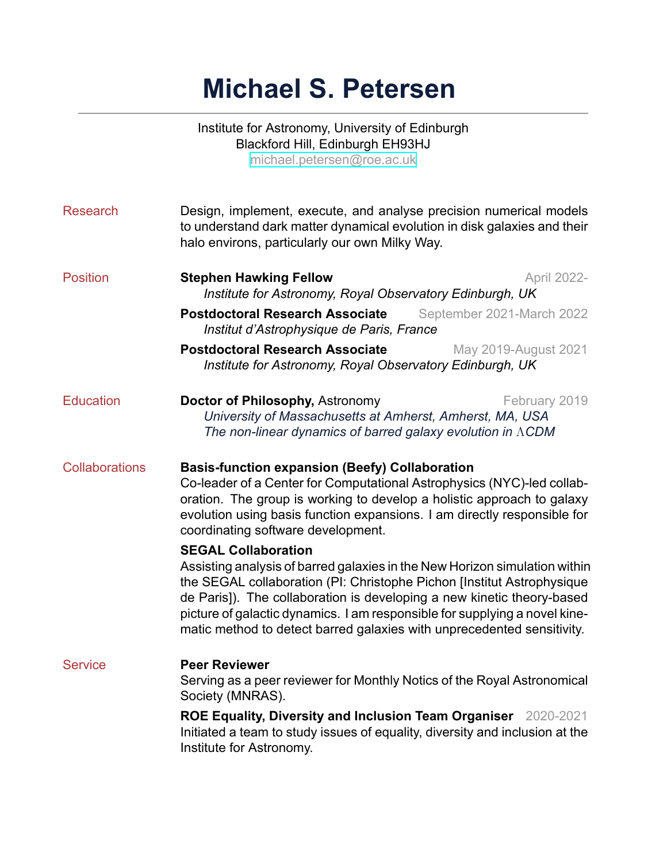# **Michael S. Petersen**

|                       | Institute for Astronomy, University of Edinburgh<br>Blackford Hill, Edinburgh EH93HJ<br>michael.petersen@roe.ac.uk                                                                                        |                           |  |
|-----------------------|-----------------------------------------------------------------------------------------------------------------------------------------------------------------------------------------------------------|---------------------------|--|
| <b>Research</b>       | Design, implement, execute, and analyse precision numerical models<br>to understand dark matter dynamical evolution in disk galaxies and their<br>halo environs, particularly our own Milky Way.          |                           |  |
| <b>Position</b>       | <b>Stephen Hawking Fellow</b><br>Institute for Astronomy, Royal Observatory Edinburgh, UK                                                                                                                 | April 2022-               |  |
|                       | <b>Postdoctoral Research Associate</b><br>Institut d'Astrophysique de Paris, France                                                                                                                       | September 2021-March 2022 |  |
|                       | <b>Postdoctoral Research Associate</b><br>Institute for Astronomy, Royal Observatory Edinburgh, UK                                                                                                        | May 2019-August 2021      |  |
| <b>Education</b>      | Doctor of Philosophy, Astronomy<br>February 2019<br>University of Massachusetts at Amherst, Amherst, MA, USA<br>The non-linear dynamics of barred galaxy evolution in ACDM                                |                           |  |
| <b>Collaborations</b> | <b>Basis-function expansion (Beefy) Collaboration</b><br>Co-leader of a Center for Computational Astrophysics (NYC)-led collab-<br>oration. The group is working to develop a holistic approach to galaxy |                           |  |

### **SEGAL Collaboration**

coordinating software development.

Assisting analysis of barred galaxies in the New Horizon simulation within the SEGAL collaboration (PI: Christophe Pichon [Institut Astrophysique de Paris]). The collaboration is developing a new kinetic theory-based picture of galactic dynamics. I am responsible for supplying a novel kinematic method to detect barred galaxies with unprecedented sensitivity.

evolution using basis function expansions. I am directly responsible for

## Service **Peer Reviewer**

Serving as a peer reviewer for Monthly Notics of the Royal Astronomical Society (MNRAS).

**ROE Equality, Diversity and Inclusion Team Organiser** 2020-2021 Initiated a team to study issues of equality, diversity and inclusion at the Institute for Astronomy.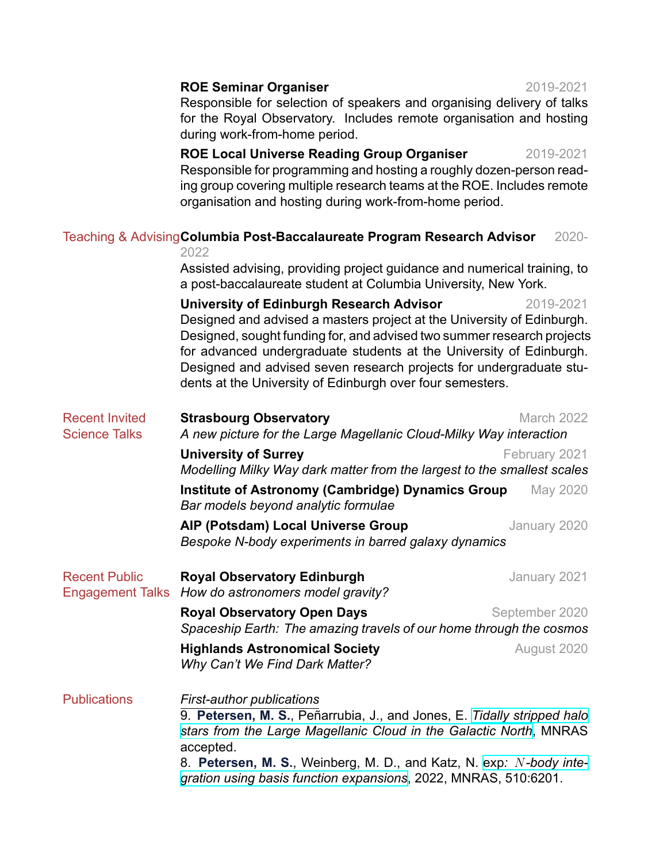### **ROE Seminar Organiser** 2019-2021

Responsible for selection of speakers and organising delivery of talks for the Royal Observatory. Includes remote organisation and hosting during work-from-home period.

**ROE Local Universe Reading Group Organiser** 2019-2021 Responsible for programming and hosting a roughly dozen-person reading group covering multiple research teams at the ROE. Includes remote organisation and hosting during work-from-home period.

# Teaching & Advising Columbia Post-Baccalaureate Program Research Advisor 2020-

2022

Assisted advising, providing project guidance and numerical training, to a post-baccalaureate student at Columbia University, New York.

**University of Edinburgh Research Advisor** 2019-2021 Designed and advised a masters project at the University of Edinburgh. Designed, sought funding for, and advised two summer research projects for advanced undergraduate students at the University of Edinburgh. Designed and advised seven research projects for undergraduate students at the University of Edinburgh over four semesters.

| <b>Recent Invited</b><br><b>Science Talks</b>   | <b>Strasbourg Observatory</b><br>A new picture for the Large Magellanic Cloud-Milky Way interaction                                                                                                                                                                                                                                      | <b>March 2022</b> |
|-------------------------------------------------|------------------------------------------------------------------------------------------------------------------------------------------------------------------------------------------------------------------------------------------------------------------------------------------------------------------------------------------|-------------------|
|                                                 | <b>University of Surrey</b><br>Modelling Milky Way dark matter from the largest to the smallest scales                                                                                                                                                                                                                                   | February 2021     |
|                                                 | Institute of Astronomy (Cambridge) Dynamics Group<br>Bar models beyond analytic formulae                                                                                                                                                                                                                                                 | May 2020          |
|                                                 | AIP (Potsdam) Local Universe Group<br>Bespoke N-body experiments in barred galaxy dynamics                                                                                                                                                                                                                                               | January 2020      |
| <b>Recent Public</b><br><b>Engagement Talks</b> | <b>Royal Observatory Edinburgh</b><br>How do astronomers model gravity?                                                                                                                                                                                                                                                                  | January 2021      |
|                                                 | <b>Royal Observatory Open Days</b><br>September 2020<br>Spaceship Earth: The amazing travels of our home through the cosmos                                                                                                                                                                                                              |                   |
|                                                 | <b>Highlands Astronomical Society</b><br>Why Can't We Find Dark Matter?                                                                                                                                                                                                                                                                  | August 2020       |
| <b>Publications</b>                             | <b>First-author publications</b><br>9. Petersen, M. S., Peñarrubia, J., and Jones, E. Tidally stripped halo<br>stars from the Large Magellanic Cloud in the Galactic North, MNRAS<br>accepted.<br>8. Petersen, M. S., Weinberg, M. D., and Katz, N. exp: N-body inte-<br>gration using basis function expansions, 2022, MNRAS, 510:6201. |                   |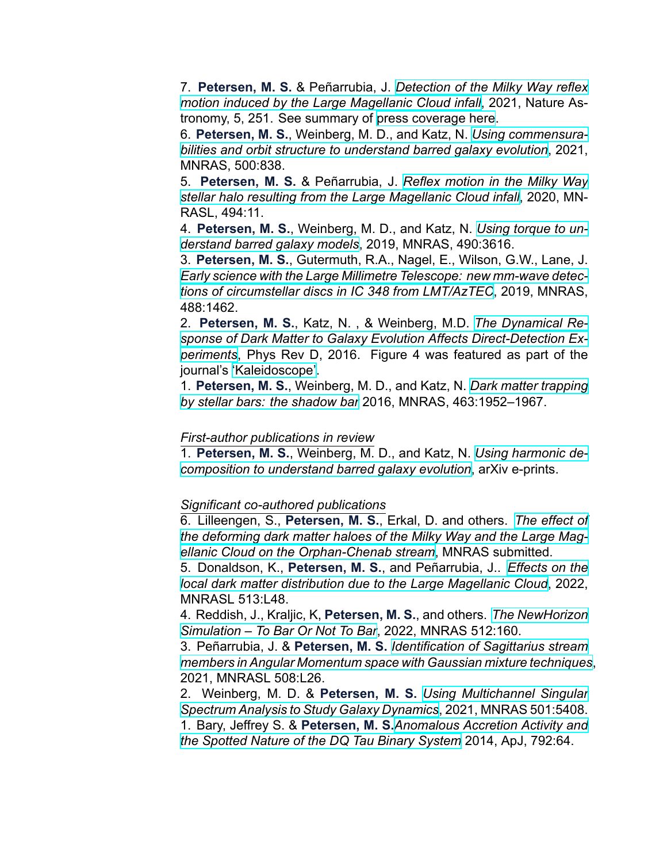7. **Petersen, M. S.** & Peñarrubia, J. *[Detection of the Milky Way reflex](https://ui.adsabs.harvard.edu/abs/2021NatAs...5..251P/abstract) [motion induced by the Large Magellanic Cloud infall](https://ui.adsabs.harvard.edu/abs/2021NatAs...5..251P/abstract)*, 2021, Nature Astronomy, 5, 251. See summary of [press coverage here.](https://nature.altmetric.com/details/94805693/news)

6. **Petersen, M. S.**, Weinberg, M. D., and Katz, N. *[Using commensura](https://ui.adsabs.harvard.edu/abs/2021MNRAS.500..838P/abstract)[bilities and orbit structure to understand barred galaxy evolution](https://ui.adsabs.harvard.edu/abs/2021MNRAS.500..838P/abstract)*, 2021, MNRAS, 500:838.

5. **Petersen, M. S.** & Peñarrubia, J. *[Reflex motion in the Milky Way](https://ui.adsabs.harvard.edu/abs/2020MNRAS.494L..11P/abstract) [stellar halo resulting from the Large Magellanic Cloud infall](https://ui.adsabs.harvard.edu/abs/2020MNRAS.494L..11P/abstract)*, 2020, MN-RASL, 494:11.

4. **Petersen, M. S.**, Weinberg, M. D., and Katz, N. *[Using torque to un](https://ui.adsabs.harvard.edu/abs/2019MNRAS.490.3616P/abstract)[derstand barred galaxy models](https://ui.adsabs.harvard.edu/abs/2019MNRAS.490.3616P/abstract)*, 2019, MNRAS, 490:3616.

3. **Petersen, M. S.**, Gutermuth, R.A., Nagel, E., Wilson, G.W., Lane, J. Early science with the Large Millimetre Telescope: new mm-wave detec*[tions of circumstellar discs in IC 348 from LMT/AzTEC](https://ui.adsabs.harvard.edu/abs/2019MNRAS.488.1462P/abstract)*, 2019, MNRAS, 488:1462.

2. **Petersen, M. S.**, Katz, N. , & Weinberg, M.D. *[The Dynamical Re](http://adsabs.harvard.edu/abs/2016PhRvD..94l3013P)*sponse of Dark Matter to Galaxy Evolution Affects Direct-Detection Ex*[periments](http://adsabs.harvard.edu/abs/2016PhRvD..94l3013P)*, Phys Rev D, 2016. Figure 4 was featured as part of the journal's ['Kaleidoscope'](https://journals.aps.org/prd/kaleidoscope/prd/94/12/123013).

1. **Petersen, M. S.**, Weinberg, M. D., and Katz, N. *[Dark matter trapping](http://adsabs.harvard.edu/abs/2016MNRAS.463.1952P) [by stellar bars: the shadow bar](http://adsabs.harvard.edu/abs/2016MNRAS.463.1952P)* 2016, MNRAS, 463:1952–1967.

#### *First-author publications in review*

1. **Petersen, M. S.**, Weinberg, M. D., and Katz, N. *[Using harmonic de](https://ui.adsabs.harvard.edu/abs/2019arXiv190308203P/abstract)[composition to understand barred galaxy evolution](https://ui.adsabs.harvard.edu/abs/2019arXiv190308203P/abstract), arXiv e-prints.* 

#### **Significant co-authored publications**

6. Lilleengen, S., **Petersen, M. S.**, Erkal, D. and others. *[The effect of](https://ui.adsabs.harvard.edu/abs/2022arXiv220501688L/abstract) [the deforming dark matter haloes of the Milky Way and the Large Mag](https://ui.adsabs.harvard.edu/abs/2022arXiv220501688L/abstract)[ellanic Cloud on the OrphanChenab stream](https://ui.adsabs.harvard.edu/abs/2022arXiv220501688L/abstract)*, MNRAS submitted.

5. Donaldson, K., **Petersen, M. S.**, and Peñarrubia, J.. *[Effects on the](https://ui.adsabs.harvard.edu/abs/2022MNRAS.513L..46D/abstract) [local dark matter distribution due to the Large Magellanic Cloud](https://ui.adsabs.harvard.edu/abs/2022MNRAS.513L..46D/abstract)*, 2022, MNRASL 513:L48.

4. Reddish, J., Kraljic, K, **Petersen, M. S.**, and others. *[The NewHorizon](https://ui.adsabs.harvard.edu/abs/2022MNRAS.512..160R/abstract) [Simulation – To Bar Or Not To Bar](https://ui.adsabs.harvard.edu/abs/2022MNRAS.512..160R/abstract)*, 2022, MNRAS 512:160.

3. Peñarrubia, J. & **Petersen, M. S.** *[Identification of Sagittarius stream](https://ui.adsabs.harvard.edu/abs/2021MNRAS.508L..26P/abstract) [members in Angular Momentum space with Gaussian mixture techniques](https://ui.adsabs.harvard.edu/abs/2021MNRAS.508L..26P/abstract)*, 2021, MNRASL 508:L26.

2. Weinberg, M. D. & **Petersen, M. S.** *[Using Multichannel Singular](https://ui.adsabs.harvard.edu/abs/2021MNRAS.501.5408W/abstract) [Spectrum Analysis to Study Galaxy Dynamics](https://ui.adsabs.harvard.edu/abs/2021MNRAS.501.5408W/abstract)*, 2021, MNRAS 501:5408. 1. Bary, Jeffrey S. & **Petersen, M. S.***[Anomalous Accretion Activity and](http://adsabs.harvard.edu/abs/2014ApJ...792...64B)*

*[the Spotted Nature of the DQ Tau Binary System](http://adsabs.harvard.edu/abs/2014ApJ...792...64B)* 2014, ApJ, 792:64.